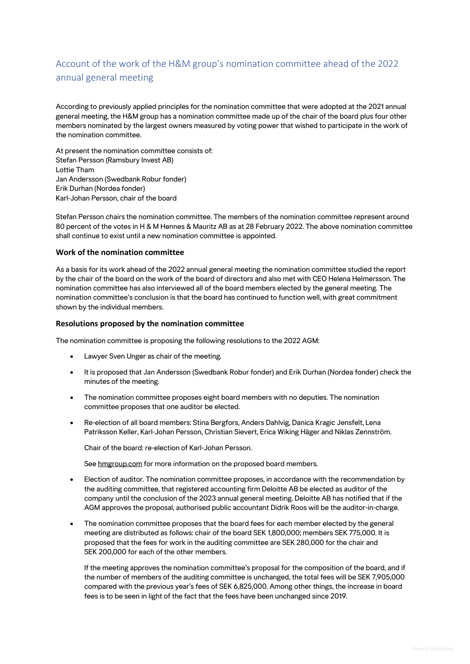# Account of the work of the H&M group's nomination committee ahead of the 2022 annual general meeting

According to previously applied principles for the nomination committee that were adopted at the 2021 annual general meeting, the H&M group has a nomination committee made up of the chair of the board plus four other members nominated by the largest owners measured by voting power that wished to participate in the work of the nomination committee.

At present the nomination committee consists of: Stefan Persson (Ramsbury Invest AB) Lottie Tham Jan Andersson (Swedbank Robur fonder) Erik Durhan (Nordea fonder) Karl-Johan Persson, chair of the board

Stefan Persson chairs the nomination committee. The members of the nomination committee represent around 80 percent of the votes in H & M Hennes & Mauritz AB as at 28 February 2022. The above nomination committee shall continue to exist until a new nomination committee is appointed.

# **Work of the nomination committee**

As a basis for its work ahead of the 2022 annual general meeting the nomination committee studied the report by the chair of the board on the work of the board of directors and also met with CEO Helena Helmersson. The nomination committee has also interviewed all of the board members elected by the general meeting. The nomination committee's conclusion is that the board has continued to function well, with great commitment shown by the individual members.

## **Resolutions proposed by the nomination committee**

The nomination committee is proposing the following resolutions to the 2022 AGM:

- Lawyer Sven Unger as chair of the meeting.
- It is proposed that Jan Andersson (Swedbank Robur fonder) and Erik Durhan (Nordea fonder) check the minutes of the meeting.
- The nomination committee proposes eight board members with no deputies. The nomination committee proposes that one auditor be elected.
- Re-election of all board members: Stina Bergfors, Anders Dahlvig, Danica Kragic Jensfelt, Lena Patriksson Keller, Karl-Johan Persson, Christian Sievert, Erica Wiking Häger and Niklas Zennström.

Chair of the board: re-election of Karl-Johan Persson.

See hmgroup.com for more information on the proposed board members.

- Election of auditor. The nomination committee proposes, in accordance with the recommendation by the auditing committee, that registered accounting firm Deloitte AB be elected as auditor of the company until the conclusion of the 2023 annual general meeting. Deloitte AB has notified that if the AGM approves the proposal, authorised public accountant Didrik Roos will be the auditor-in-charge.
- The nomination committee proposes that the board fees for each member elected by the general meeting are distributed as follows: chair of the board SEK 1,800,000; members SEK 775,000. It is proposed that the fees for work in the auditing committee are SEK 280,000 for the chair and SEK 200,000 for each of the other members.

If the meeting approves the nomination committee's proposal for the composition of the board, and if the number of members of the auditing committee is unchanged, the total fees will be SEK 7,905,000 compared with the previous year's fees of SEK 6,825,000. Among other things, the increase in board fees is to be seen in light of the fact that the fees have been unchanged since 2019.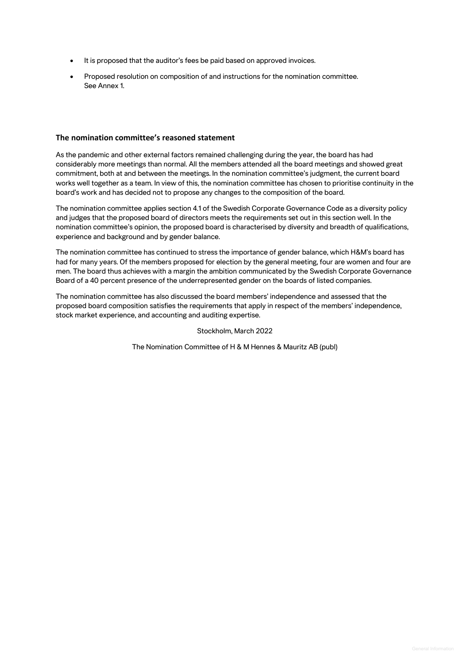- It is proposed that the auditor's fees be paid based on approved invoices.
- Proposed resolution on composition of and instructions for the nomination committee. See Annex 1.

## **The nomination committee's reasoned statement**

As the pandemic and other external factors remained challenging during the year, the board has had considerably more meetings than normal. All the members attended all the board meetings and showed great commitment, both at and between the meetings. In the nomination committee's judgment, the current board works well together as a team. In view of this, the nomination committee has chosen to prioritise continuity in the board's work and has decided not to propose any changes to the composition of the board.

The nomination committee applies section 4.1 of the Swedish Corporate Governance Code as a diversity policy and judges that the proposed board of directors meets the requirements set out in this section well. In the nomination committee's opinion, the proposed board is characterised by diversity and breadth of qualifications, experience and background and by gender balance.

The nomination committee has continued to stress the importance of gender balance, which H&M's board has had for many years. Of the members proposed for election by the general meeting, four are women and four are men. The board thus achieves with a margin the ambition communicated by the Swedish Corporate Governance Board of a 40 percent presence of the underrepresented gender on the boards of listed companies.

The nomination committee has also discussed the board members' independence and assessed that the proposed board composition satisfies the requirements that apply in respect of the members' independence, stock market experience, and accounting and auditing expertise.

#### Stockholm, March 2022

The Nomination Committee of H & M Hennes & Mauritz AB (publ)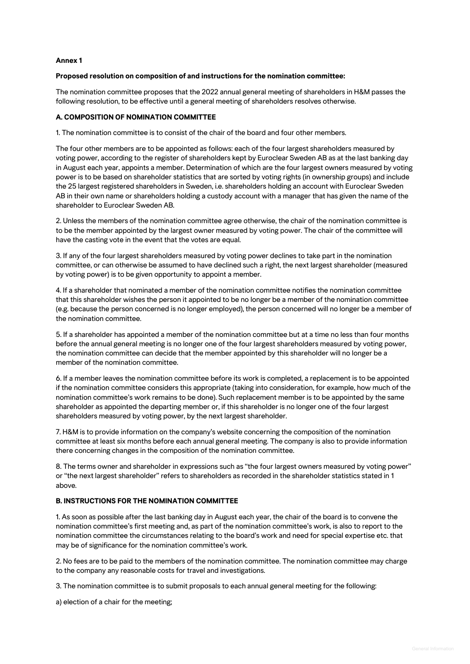## **Annex 1**

## **Proposed resolution on composition of and instructions for the nomination committee:**

The nomination committee proposes that the 2022 annual general meeting of shareholders in H&M passes the following resolution, to be effective until a general meeting of shareholders resolves otherwise.

## **A. COMPOSITION OF NOMINATION COMMITTEE**

1. The nomination committee is to consist of the chair of the board and four other members.

The four other members are to be appointed as follows: each of the four largest shareholders measured by voting power, according to the register of shareholders kept by Euroclear Sweden AB as at the last banking day in August each year, appoints a member. Determination of which are the four largest owners measured by voting power is to be based on shareholder statistics that are sorted by voting rights (in ownership groups) and include the 25 largest registered shareholders in Sweden, i.e. shareholders holding an account with Euroclear Sweden AB in their own name or shareholders holding a custody account with a manager that has given the name of the shareholder to Euroclear Sweden AB.

2. Unless the members of the nomination committee agree otherwise, the chair of the nomination committee is to be the member appointed by the largest owner measured by voting power. The chair of the committee will have the casting vote in the event that the votes are equal.

3. If any of the four largest shareholders measured by voting power declines to take part in the nomination committee, or can otherwise be assumed to have declined such a right, the next largest shareholder (measured by voting power) is to be given opportunity to appoint a member.

4. If a shareholder that nominated a member of the nomination committee notifies the nomination committee that this shareholder wishes the person it appointed to be no longer be a member of the nomination committee (e.g. because the person concerned is no longer employed), the person concerned will no longer be a member of the nomination committee.

5. If a shareholder has appointed a member of the nomination committee but at a time no less than four months before the annual general meeting is no longer one of the four largest shareholders measured by voting power, the nomination committee can decide that the member appointed by this shareholder will no longer be a member of the nomination committee.

6. If a member leaves the nomination committee before its work is completed, a replacement is to be appointed if the nomination committee considers this appropriate (taking into consideration, for example, how much of the nomination committee's work remains to be done). Such replacement member is to be appointed by the same shareholder as appointed the departing member or, if this shareholder is no longer one of the four largest shareholders measured by voting power, by the next largest shareholder.

7. H&M is to provide information on the company's website concerning the composition of the nomination committee at least six months before each annual general meeting. The company is also to provide information there concerning changes in the composition of the nomination committee.

8. The terms owner and shareholder in expressions such as "the four largest owners measured by voting power" or "the next largest shareholder" refers to shareholders as recorded in the shareholder statistics stated in 1 above.

# **B. INSTRUCTIONS FOR THE NOMINATION COMMITTEE**

1. As soon as possible after the last banking day in August each year, the chair of the board is to convene the nomination committee's first meeting and, as part of the nomination committee's work, is also to report to the nomination committee the circumstances relating to the board's work and need for special expertise etc. that may be of significance for the nomination committee's work.

2. No fees are to be paid to the members of the nomination committee. The nomination committee may charge to the company any reasonable costs for travel and investigations.

3. The nomination committee is to submit proposals to each annual general meeting for the following:

a) election of a chair for the meeting;